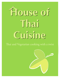# **House of Thai Cuisine**

# Thai and Vegetarian cooking with a twist

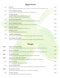## **Appetizers**

| $A-1$  | <b>SATAY</b><br>Strips of grilled marinated chicken or beef on skewers served with peanut sauce and cucumber salad                   | 6.95 |
|--------|--------------------------------------------------------------------------------------------------------------------------------------|------|
| $A-2$  | THAI SPRING ROLL<br>Vegetable and clear noodle wrapped in rice paper served with plum sauce                                          | 4.95 |
| $A-3$  | <b>CURRY PUFF</b><br>Puff Pastry stuffed with ground chicken, potatoes, onions<br>and yellow curry powder served with cucumber salad | 5.95 |
| $A-4$  | <b>THAI DUMPLINGS</b><br>Ground chicken, shrimp and vegetables served with delicious dark brown sauce                                | 5.95 |
| $A-5$  | THAI SHRIMP ROLL<br>Fried shrimp roll stuffed with chicken, imitation crab meat and vegetables                                       | 8.95 |
| $A-6$  | <b>SQUID RINGS</b><br>Crispy fried calamari served with sweet and sour sauce                                                         | 6.95 |
| $A-7$  | <b>FRIED TOFU</b><br>Deep fried tofu served with sweet peanut sauce                                                                  | 5.95 |
| $A-8$  | <b>CRISPY NOODLES</b><br>The most famous Thai dish cooked with honey sauce, shrimp, scallions and bean sprouts                       | 7.95 |
| $A-9$  | <b>STEAMED MUSSEL</b><br>Steamed New Zealand mussels topped with garlic bell peppers, onion and chili basil sauce                    | 7.95 |
|        | Soups                                                                                                                                |      |
| $S-1$  | TOM YUM GOONG<br>Shrimp in spicy herbal clear broth with lemon grass, kaffir lime, leaves, mushrooms and lime sauce                  | 5.50 |
| $S-2$  | TOM YUM KAI<br>Chicken in spicy herbal clear broth with lemon grass, kaffir lime, leaves, mushrooms and lime sauce                   | 4.95 |
| $SS-3$ | <b>TOM KHA KAI</b><br>Chicken in coconut milk, galanga, kaffir lime leaves, mushrooms and lime juice                                 | 5.95 |
| $S-4$  | KING OF THE SEA SOUP<br>Seafood combination soup with lemon grass, kaffir lime leaves, mushrooms and lime juice                      | 5.95 |
| $S-5$  | <b>TOFU SOUP</b><br>Clear broth soup with tofu and mixed vegetables                                                                  | 4.50 |
| $S-6$  | <b>TOM YUM TOFU</b><br>Tofu in spicy herbal clear broth with lemon grass, kaffir lime leaves, mushrooms and lime juice               | 4.95 |
| $SS-7$ | TOM KHA TOFU<br>Tofu in coconut milk, galanga, kaffir lime leaves, mushrooms and lime juice                                          | 5.50 |

S-8 GANG CHUD 4.95  *Clear broth filled with tofu, ground chicken and vegetables*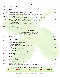### **Salads**

| $S-10$      | <b>THAI SALAD</b><br>Lettuce, tomato, cucumbers, carrots, bean sprouts and bean curd served with peanut sauce                                         | 5.95  |
|-------------|-------------------------------------------------------------------------------------------------------------------------------------------------------|-------|
| $\sum$ S-20 | <b>BEEF SALAD</b><br>Grilled beef marinated with lime juice, tomato, onions, scallions and cucumber                                                   | 11.95 |
| $\sum$ S-30 | SPICY GROUND PORK (NAM SOD)<br>Ground pork cooked well-done with lime juice, ginger, onions, scallions, roasted peanuts and lettuce                   | 9.95  |
| $\sum$ S-40 | <b>YUM PED</b><br>Crispy duck marinated with lime juice, onions, scallions, bell peppers, tomato and cashew nuts                                      | 11.95 |
| $\sum$ S-50 | <b>JUMPING SHRIMP SALAD</b><br>Cooked Shrimp with chili paste, onions, scallions and lime juice on top of lettuce                                     | 11.95 |
| $\sum$ S-60 | <b>SEAFOOD SALAD</b><br>Shrimp, calamari, scallops, fish and mussels combined in an<br>exquisite balance of onions, chili, lemon grass and lime juice | 12.95 |
| $\sum$ S-70 | <b>SPICY SAUSAGE SALAD</b><br>Thai sausage seasoned with lime juice, tomato, onions, scallions, cucumber and chili paste                              | 10.95 |
|             | <b>Entrees</b>                                                                                                                                        |       |
|             | All entrees served with jasmine rice.<br>Choice of Chicken, Beef or Pork. Shrimp add \$3.00<br>Additional will be Extra Charge                        |       |
| $E-1$       | <b>RED CURRY</b><br>Red curry, coconut milk, bamboo shoots, sweet peas and bell peppers                                                               | 12.95 |
| $E-2$       | <b>GREEN CURRY</b><br>Unique blends of spicy and sweet green curry, coconut milk, bamboo shoots,<br>string beans, bell peppers and basil leaves       | 12.95 |
| $E-3$       | PANANG CURRY<br>Cooked in red panang curry, coconut milk, and bell peppers                                                                            | 12.95 |
| $E-4$       | <b>GARLIC SAUCE</b><br>Sautéed with garlic and black peppers                                                                                          | 11.95 |
| $E-5$       | <b>GINGER SAUCE</b><br>Sautéed with fresh ginger, scallions, onions, mushrooms and bell peppers                                                       | 11.95 |
| $E-6$       | PAD PRIK KHING<br>Sautéed prik khing curry paste with string beans, and bell peppers                                                                  | 12.95 |
| $E-7$       | PAD PAK<br>Sautéed mixed vegetables with house special sauce                                                                                          | 11.95 |
| $E-8$       | <b>BASIL SAUCE</b><br>Sautéed chili sauce with onions, bell peppers and basil leaves                                                                  | 11.95 |
| $E-9$       | <b>CASHEW NUTS</b><br>Sautéed cashew nuts with carrots, scallions, bell peppers, mushrooms and celery                                                 | 12.95 |

#### WE CAN ALTER HOT & SPICY FOOD TO YOUR TASTE **MILD MUNICIPY SPICY SPICY SPICY**

Thai and Vegetarian cooking with a twist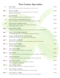## **Thai Cuisine Specialties**

| $T-1$       | PHA RAM<br>Choice of chicken or pork with spicy Thai peanut sauce on top of broccoli                                                          | 12.95 |
|-------------|-----------------------------------------------------------------------------------------------------------------------------------------------|-------|
| $\chi T-2$  | <b>DUCK CURRY</b><br>Half of duck topped with red curry, pineapple, tomato, carrots, sweet peas,<br>bell peppers and coconut milk             | 18.95 |
| $\chi T-3$  | <b>DUCK BASIL</b><br>Half of duck topped with chili sauce, bell peppers and basil leaves                                                      | 18.95 |
| $T-4$       | DUCK WITH TAMARIND SAUCE<br>Half of duck topped with tamarind sauce, fried garlic, fried onions and fried chili                               | 18.95 |
| $T-5$       | <b>SEAFOOD COMBINATION</b><br>Cooked marinated shrimp, scallops, squid, imitation crab meat, ginger,<br>Chinese cabbage, scallions and celery | 18.95 |
| $\chi T-6$  | <b>SEAFOOD CURRY</b><br>Shrimp, mussels, squid, scallops, sweet peas, sweet potatoes, onions in red curry and coconut milk                    | 18.95 |
| $\chi T$ -7 | <b>VOLCANO JUMBO SHRIMP</b><br>Steamed jumbo shrimp on bed of mixed vegetables and topped with chili sauce                                    | 17.95 |
| $\chi T-8$  | <b>JUMBO SHRIMP WITH CHILI PASTE</b><br>Sautéed shrimp with chili paste, eggs, ginger, scallions and bell peppers                             | 17.95 |
| $\chi T-9$  | <b>MASSAMUN SHRIMP</b><br>Jumbo shrimp cooked in massamun curry with sweet potatoes, onion, avocado and peanuts                               | 17.95 |
| $\chi$ T-10 | <b>MASSAMUN CURRY</b><br>Chicken cooked in massamun curry with<br>sweet potatoes, avocado, onions and peanuts                                 | 13.95 |
| $\chi$ T-11 | <b>YELLOW CURRY</b><br>Chicken cooked in yellow curry potatoes, carrots and onions                                                            | 12.95 |
| $\chi$ T-12 | PAD PHED<br>Chicken or pork sautéed with curry paste, baby corn, mushrooms, bell peppers and Thai basil                                       | 12.95 |
| $T-13$      | <b>THAI CHICKEN</b><br>Crispy chicken with house spicy sauce onions, bell peppers, asparagus and fried chili                                  | 14.95 |
| $\chi$ T-14 | <b>SQUID IN LOVE</b><br>Sautéed shrimp, squid and chicken with chili paste, lemon grass,<br>scallions, bell peppers, and kaffir leaves        | 16.95 |
| $\chi$ T-15 | <b>HOY SHELL BASIL</b><br>Sautéed sea scallops with chili, onions, bell peppers and Thai basil                                                | 17.95 |
| $T-16$      | <b>HOY SHELL GARLIC</b><br>Sautéed sea scallops with garlic and black pepper over a bed of vegetables                                         | 17.95 |
| $\sum T-17$ | <b>HOY SHELL CURRY</b><br>Sea scallops in red curry, coconut milk, bamboo shoots, sweet peas and bell peppers                                 | 17.95 |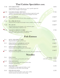## **Thai Cuisine Specialties cont.**

| $T-18$                    | <b>STEAMED FISH</b>                                                                                                                                                                            |                                     | 18.95                                |
|---------------------------|------------------------------------------------------------------------------------------------------------------------------------------------------------------------------------------------|-------------------------------------|--------------------------------------|
|                           | Steamed fillet fish in a classic plum sauce on a bed of vegetables topped with<br>callions, broccoli, bell peppers and fresh gingers                                                           |                                     |                                      |
| $\chi$ T-19               | <b>SALMON BASIL CRUNCH</b><br>Authentic Thai style fillet salmon sautéed with chili paste topped with crunchy<br>fried basil, cashew nuts, carrots, roasted dry chili, bell peppers and onions |                                     | 17.95                                |
| $\chi$ T-20               | <b>PLA KAPROW</b><br>Deep fried whole fish with chili sauce, onions, bell peppers and basil leaves                                                                                             |                                     | \$ M/P                               |
| $T-21$                    | <b>PLA PREAW WAN</b><br>Deep fried whole fish topped with pineapple, tomato, cucumbers, onions and scallions                                                                                   |                                     | \$ M/P                               |
| $T-22$                    | <b>PLA JEAN</b>                                                                                                                                                                                |                                     | \$ M/P                               |
|                           | Deep fried whole fish with bell peppers, celery, mushrooms, gingers,<br>scallions, ground chicken in black bean sauce                                                                          |                                     |                                      |
| $T-23$                    | <b>SALMON GREEN CURRY</b><br>Fillet salmon in green curry, coconut milk, eggplant, onions,<br>bell peppers, carrots, baby corn, peas and Thai basil                                            |                                     | 17.95                                |
|                           |                                                                                                                                                                                                |                                     |                                      |
|                           | <b>Fish Entrees</b>                                                                                                                                                                            |                                     |                                      |
| $F-1$                     | <b>HOT AND SPICY FISH</b><br>Deep fried whole fish topped with chili sauce                                                                                                                     |                                     | \$ M/P                               |
| $F-2$                     | <b>FISH WITH TAMARIND SAUCE</b><br>Deep fried whole fish topped with tamarind sauce                                                                                                            |                                     | \$ M/P                               |
| $F-3$                     | <b>FISH WITH GARLIC SAUCE</b><br>Deep fried whole fish topped with garlic and black pepper                                                                                                     |                                     | $\frac{\text{S} M}{P}$               |
| $\mathbf{x}^{\text{F-4}}$ | <b>CHOO CHEE FISH</b><br>Deep fried whole fish topped with choo chee curry sauce, string beans and lime leaves                                                                                 |                                     | $\frac{\text{S} \text{M}}{\text{P}}$ |
|                           | <b>Noodles</b>                                                                                                                                                                                 |                                     |                                      |
|                           |                                                                                                                                                                                                |                                     |                                      |
| $N-1$                     | PAD THAI<br>Stir fried rice noodles, egg, bean sprouts and scallions                                                                                                                           | with chicken<br>with beef or shrimp | 11.95<br>12.95                       |
| $\mathbf{N}$ -2           | PAD KHI MAO<br>Stir fried broad rice noodles with chicken, or pork, onions,<br>bell peppers, and basil leaves                                                                                  |                                     | 11.95                                |
| $N-3$                     | PAD SEE-EW<br>Sautéed thick rice noodles topped with chicken, or pork<br>in a flavorful sauce with Chinese broccoli and eggs                                                                   |                                     | 11.95                                |
| $N-4$                     | PAD WOON SEN<br>Sautéed clear noodles with chicken or pork, onions scallions,<br>broccoli, snow peas, bean sprouts, carrots and eggs                                                           |                                     | 11.95                                |